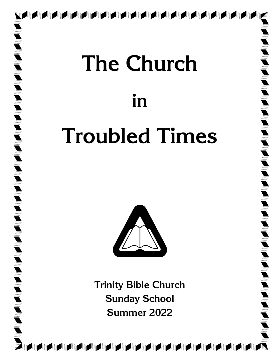# **The Church in Troubled Times**

**Till**<br>Till<br>Till

**ASSES ASSES ASSES** 

I S

**R** 



**Trinity Bible Church Sunday School Summer 2022**

**ATA ATA ATA ATA ATA**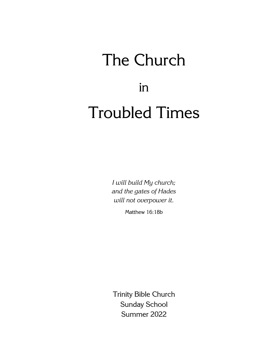## The Church in Troubled Times

*I will build My church; and the gates of Hades will not overpower it.*

Matthew 16:18b

Trinity Bible Church Sunday School Summer 2022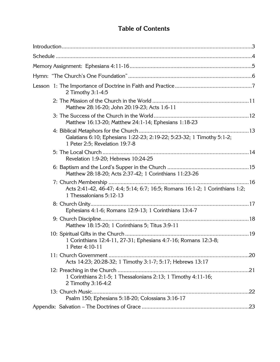## **Table of Contents**

| 2 Timothy 3:1-4:5                                                                                       |
|---------------------------------------------------------------------------------------------------------|
| Matthew 28:16-20; John 20:19-23; Acts 1:6-11                                                            |
| Matthew 16:13-20; Matthew 24:1-14; Ephesians 1:18-23                                                    |
| Galatians 6:10; Ephesians 1:22-23; 2:19-22; 5:23-32; 1 Timothy 5:1-2;<br>1 Peter 2:5; Revelation 19:7-8 |
| Revelation 1:9-20; Hebrews 10:24-25                                                                     |
| Matthew 28:18-20; Acts 2:37-42; 1 Corinthians 11:23-26                                                  |
| Acts 2:41-42, 46-47; 4:4; 5:14; 6:7; 16:5; Romans 16:1-2; 1 Corinthians 1:2;<br>1 Thessalonians 5:12-13 |
| Ephesians 4:1-6; Romans 12:9-13; 1 Corinthians 13:4-7                                                   |
| Matthew 18:15-20; 1 Corinthians 5; Titus 3:9-11                                                         |
| 1 Corinthians 12:4-11, 27-31; Ephesians 4:7-16; Romans 12:3-8;<br>1 Peter 4:10-11                       |
| Acts 14:23; 20:28-32; 1 Timothy 3:1-7; 5:17; Hebrews 13:17                                              |
| 1 Corinthians 2:1-5; 1 Thessalonians 2:13; 1 Timothy 4:11-16;<br>2 Timothy 3:16-4:2                     |
| Psalm 150; Ephesians 5:18-20; Colossians 3:16-17                                                        |
|                                                                                                         |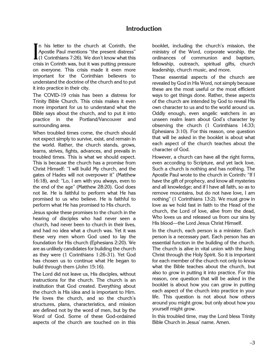#### **Introduction**

In his letter to the church at Corinth, the Apostle Paul mentions "the present distress" In his letter to the church at Corinth, the<br>Apostle Paul mentions "the present distress"<br>(1 Corinthians 7:26). We don't know what this<br>crisis in Corinth was but it was putting pressure crisis in Corinth was, but it was putting pressure on everyone. This crisis made it even more important for the Corinthian believers to understand the doctrine of the church and to put it into practice in their city.

The COVID-19 crisis has been a distress for Trinity Bible Church. This crisis makes it even more important for us to understand what the Bible says about the church, and to put it into practice in the Portland/Vancouver and surrounding area.

When troubled times come, the church should not expect simply to survive, exist, and remain in the world. Rather, the church stands, grows, learns, strives, fights, advances, and prevails in troubled times. This is what we should expect. This is because the church has a promise from Christ Himself: "I will build My church, and the gates of Hades will not overpower it" (Matthew 16:18), and: "Lo, I am with you always, even to the end of the age" (Matthew 28:20). God does not lie. He is faithful to perform what He has promised to us who believe. He is faithful to perform what He has promised to His church.

Jesus spoke these promises to the church in the hearing of disciples who had never seen a church, had never been to church in their lives, and had no idea what a church was. Yet it was these very men whom God used to lay the foundation for His church (Ephesians 2:20). We are as unlikely candidates for building the church as they were (1 Corinthians 1:26-31). Yet God has chosen us to continue what He began to build through them (John 15:16).

The Lord did not leave us, His disciples, without instructions for the church. The church is an institution that God created. Everything about the church is His idea and is important to Him. He loves the church, and so the church's structures, plans, characteristics, and mission are defined not by the word of men, but by the Word of God. Some of these God-ordained aspects of the church are touched on in this

booklet, including the church's mission, the ministry of the Word, corporate worship, the ordinances of communion and baptism, fellowship, outreach, spiritual gifts, church leadership, church music, and more.

These essential aspects of the church are revealed by God in His Word, not simply because these are the most useful or the most efficient ways to get things done. Rather, these aspects of the church are intended by God to reveal His own character to us and to the world around us. Oddly enough, even angelic watchers in an unseen realm learn about God's character by observing the church (1 Corinthians 14:33; Ephesians 3:10). For this reason, one question that will be asked in the booklet is about what each aspect of the church teaches about the character of God.

However, a church can have all the right forms, even according to Scripture, and yet lack love. Such a church is nothing and has nothing. The Apostle Paul wrote to the church in Corinth: "If I have the gift of prophecy, and know all mysteries and all knowledge; and if I have all faith, so as to remove mountains, but do not have love, I am nothing" (1 Corinthians 13:2). We must grow in love as we hold fast in faith to the Head of the church, the Lord of love, alive from the dead, Who loves us and released us from our sins by His blood—the Lord Jesus Christ Himself.

In the church, each person is a minister. Each person is a necessary part. Each person has an essential function in the building of the church. The church is alive in vital union with the living Christ through the Holy Spirit. So it is important for each member of the church not only to know what the Bible teaches about the church, but also to grow in putting it into practice. For this reason, one question that will be asked in the booklet is about how you can grow in putting each aspect of the church into practice in your life. This question is not about how others around you might grow, but only about how you yourself might grow.

In this troubled time, may the Lord bless Trinity Bible Church in Jesus' name. Amen.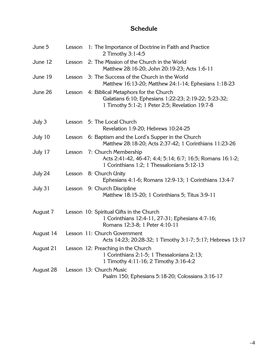### **Schedule**

| June 5    | Lesson | 1: The Importance of Doctrine in Faith and Practice<br>2 Timothy 3:1-4:5                                                                        |
|-----------|--------|-------------------------------------------------------------------------------------------------------------------------------------------------|
| June 12   | Lesson | 2: The Mission of the Church in the World<br>Matthew 28:16-20; John 20:19-23; Acts 1:6-11                                                       |
| June 19   | Lesson | 3: The Success of the Church in the World<br>Matthew 16:13-20; Matthew 24:1-14; Ephesians 1:18-23                                               |
| June 26   | Lesson | 4: Biblical Metaphors for the Church<br>Galatians 6:10; Ephesians 1:22-23; 2:19-22; 5:23-32;<br>1 Timothy 5:1-2; 1 Peter 2:5; Revelation 19:7-8 |
| July 3    |        | Lesson 5: The Local Church<br>Revelation 1:9-20; Hebrews 10:24-25                                                                               |
| July 10   | Lesson | 6: Baptism and the Lord's Supper in the Church<br>Matthew 28:18-20; Acts 2:37-42; 1 Corinthians 11:23-26                                        |
| July 17   | Lesson | 7: Church Membership<br>Acts 2:41-42, 46-47; 4:4; 5:14; 6:7; 16:5; Romans 16:1-2;<br>1 Corinthians 1:2; 1 Thessalonians 5:12-13                 |
| July 24   | Lesson | 8: Church Unity<br>Ephesians 4:1-6; Romans 12:9-13; 1 Corinthians 13:4-7                                                                        |
| July 31   | Lesson | 9: Church Discipline<br>Matthew 18:15-20; 1 Corinthians 5; Titus 3:9-11                                                                         |
| August 7  |        | Lesson 10: Spiritual Gifts in the Church<br>1 Corinthians 12:4-11, 27-31; Ephesians 4:7-16;<br>Romans 12:3-8; 1 Peter 4:10-11                   |
| August 14 |        | Lesson 11: Church Government<br>Acts 14:23; 20:28-32; 1 Timothy 3:1-7; 5:17; Hebrews 13:17                                                      |
| August 21 |        | Lesson 12: Preaching in the Church<br>1 Corinthians 2:1-5; 1 Thessalonians 2:13;<br>1 Timothy 4:11-16; 2 Timothy 3:16-4:2                       |
| August 28 |        | Lesson 13: Church Music<br>Psalm 150; Ephesians 5:18-20; Colossians 3:16-17                                                                     |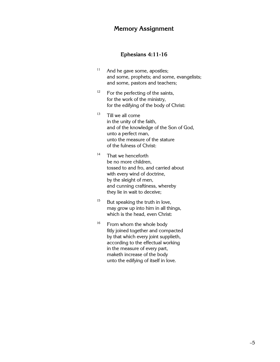#### **Memory Assignment**

#### **Ephesians 4:11-16**

- $11$  And he gave some, apostles; and some, prophets; and some, evangelists; and some, pastors and teachers;
- $12$  For the perfecting of the saints, for the work of the ministry, for the edifying of the body of Christ:
- $13$  Till we all come in the unity of the faith, and of the knowledge of the Son of God, unto a perfect man, unto the measure of the stature of the fulness of Christ:
- $14$  That we henceforth be no more children, tossed to and fro, and carried about with every wind of doctrine, by the sleight of men, and cunning craftiness, whereby they lie in wait to deceive;
- $15$  But speaking the truth in love, may grow up into him in all things, which is the head, even Christ:
- <sup>16</sup> From whom the whole body fitly joined together and compacted by that which every joint supplieth, according to the effectual working in the measure of every part, maketh increase of the body unto the edifying of itself in love.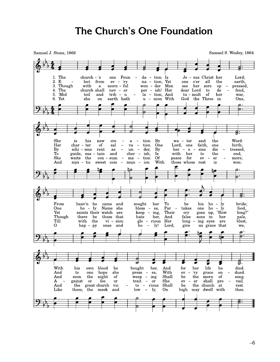## **The Church's One Foundation**

Samuel J. Stone, 1866

Samuel S. Wesley, 1864

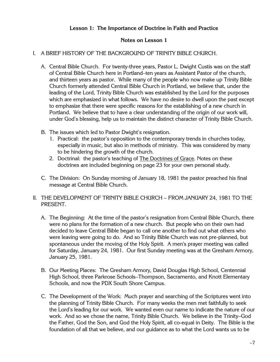#### **Lesson 1: The Importance of Doctrine in Faith and Practice**

#### **Notes on Lesson 1**

#### I. A BRIEF HISTORY OF THE BACKGROUND OF TRINITY BIBLE CHURCH.

- A. Central Bible Church. For twenty-three years, Pastor L. Dwight Custis was on the staff of Central Bible Church here in Portland–ten years as Assistant Pastor of the church, and thirteen years as pastor. While many of the people who now make up Trinity Bible Church formerly attended Central Bible Church in Portland, we believe that, under the leading of the Lord, Trinity Bible Church was established by the Lord for the purposes which are emphasized in what follows. We have no desire to dwell upon the past except to emphasize that there were specific reasons for the establishing of a new church in Portland. We believe that to have a clear understanding of the origin of our work will, under God's blessing, help us to maintain the distinct character of Trinity Bible Church.
- B. The issues which led to Pastor Dwight's resignation.
	- 1. Practical: the pastor's opposition to the contemporary trends in churches today, especially in music, but also in methods of ministry. This was considered by many to be hindering the growth of the church.
	- 2. Doctrinal: the pastor's teaching of The Doctrines of Grace. Notes on these doctrines are included beginning on page 23 for your own personal study.
- C. The Division: On Sunday morning of January 18, 1981 the pastor preached his final message at Central Bible Church.
- II. THE DEVELOPMENT OF TRINITY BIBLE CHURCH FROM JANUARY 24, 1981 TO THE PRESENT.
	- A. The Beginning: At the time of the pastor's resignation from Central Bible Church, there were no plans for the formation of a new church. But people who on their own had decided to leave Central Bible began to call one another to find out what others who were leaving were going to do. And so Trinity Bible Church was not pre-planned, but spontaneous under the moving of the Holy Spirit. A men's prayer meeting was called for Saturday, January 24, 1981. Our first Sunday meeting was at the Gresham Armory, January 25, 1981.
	- B. Our Meeting Places: The Gresham Armory, David Douglas High School, Centennial High School, three Parkrose Schools–Thompson, Sacramento, and Knott Elementary Schools, and now the PDX South Shore Campus.
	- C. The Development of the Work: Much prayer and searching of the Scriptures went into the planning of Trinity Bible Church. For many weeks the men met faithfully to seek the Lord's leading for our work. We wanted even our name to indicate the nature of our work. And so we chose the name, Trinity Bible Church. We believe in the Trinity–God the Father, God the Son, and God the Holy Spirit, all co-equal in Deity. The Bible is the foundation of all that we believe, and our guidance as to what the Lord wants us to be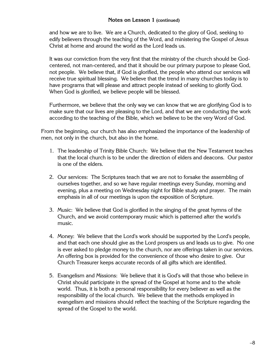and how we are to live. We are a Church, dedicated to the glory of God, seeking to edify believers through the teaching of the Word, and ministering the Gospel of Jesus Christ at home and around the world as the Lord leads us.

It was our conviction from the very first that the ministry of the church should be Godcentered, not man-centered, and that it should be our primary purpose to please God, not people. We believe that, if God is glorified, the people who attend our services will receive true spiritual blessing. We believe that the trend in many churches today is to have programs that will please and attract people instead of seeking to glorify God. When God is glorified, we believe people will be blessed.

Furthermore, we believe that the only way we can know that we are glorifying God is to make sure that our lives are pleasing to the Lord, and that we are conducting the work according to the teaching of the Bible, which we believe to be the very Word of God.

From the beginning, our church has also emphasized the importance of the leadership of men, not only in the church, but also in the home.

- 1. The leadership of Trinity Bible Church: We believe that the New Testament teaches that the local church is to be under the direction of elders and deacons. Our pastor is one of the elders.
- 2. Our services: The Scriptures teach that we are not to forsake the assembling of ourselves together, and so we have regular meetings every Sunday, morning and evening, plus a meeting on Wednesday night for Bible study and prayer. The main emphasis in all of our meetings is upon the exposition of Scripture.
- 3. Music: We believe that God is glorified in the singing of the great hymns of the Church, and we avoid contemporary music which is patterned after the world's music.
- 4. Money: We believe that the Lord's work should be supported by the Lord's people, and that each one should give as the Lord prospers us and leads us to give. No one is ever asked to pledge money to the church, nor are offerings taken in our services. An offering box is provided for the convenience of those who desire to give. Our Church Treasurer keeps accurate records of all gifts which are identified.
- 5. Evangelism and Missions: We believe that it is God's will that those who believe in Christ should participate in the spread of the Gospel at home and to the whole world. Thus, it is both a personal responsibility for every believer as well as the responsibility of the local church. We believe that the methods employed in evangelism and missions should reflect the teaching of the Scripture regarding the spread of the Gospel to the world.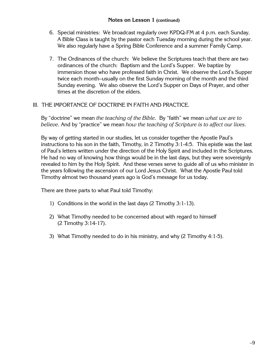#### **Notes on Lesson 1 (continued)**

- 6. Special ministries: We broadcast regularly over KPDQ-FM at 4 p.m. each Sunday. A Bible Class is taught by the pastor each Tuesday morning during the school year. We also regularly have a Spring Bible Conference and a summer Family Camp.
- 7. The Ordinances of the church: We believe the Scriptures teach that there are two ordinances of the church: Baptism and the Lord's Supper. We baptize by immersion those who have professed faith in Christ. We observe the Lord's Supper twice each month–usually on the first Sunday morning of the month and the third Sunday evening. We also observe the Lord's Supper on Days of Prayer, and other times at the discretion of the elders.

#### III. THE IMPORTANCE OF DOCTRINE IN FAITH AND PRACTICE.

By "doctrine" we mean *the teaching of the Bible.* By "faith" we mean *what we are to believe.* And by "practice" we mean *how the teaching of Scripture is to affect our lives.*

By way of getting started in our studies, let us consider together the Apostle Paul's instructions to his son in the faith, Timothy, in 2 Timothy 3:1-4:5. This epistle was the last of Paul's letters written under the direction of the Holy Spirit and included in the Scriptures. He had no way of knowing how things would be in the last days, but they were sovereignly revealed to him by the Holy Spirit. And these verses serve to guide all of us who minister in the years following the ascension of our Lord Jesus Christ. What the Apostle Paul told Timothy almost two thousand years ago is God's message for us today.

There are three parts to what Paul told Timothy:

- 1) Conditions in the world in the last days (2 Timothy 3:1-13).
- 2) What Timothy needed to be concerned about with regard to himself (2 Timothy 3:14-17).
- 3) What Timothy needed to do in his ministry, and why (2 Timothy 4:1-5).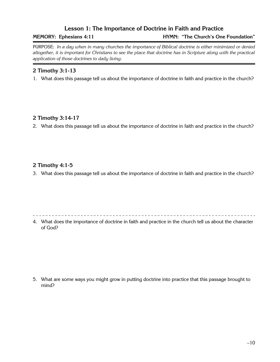#### **Lesson 1: The Importance of Doctrine in Faith and Practice**

**MEMORY: Ephesians 4:11 HYMN: "The Church's One Foundation"**

PURPOSE: *In a day when in many churches the importance of Biblical doctrine is either minimized or denied altogether, it is important for Christians to see the place that doctrine has in Scripture along with the practical application of those doctrines to daily living.*

#### **2 Timothy 3:1-13**

1. What does this passage tell us about the importance of doctrine in faith and practice in the church?

#### **2 Timothy 3:14-17**

2. What does this passage tell us about the importance of doctrine in faith and practice in the church?

#### **2 Timothy 4:1-5**

3. What does this passage tell us about the importance of doctrine in faith and practice in the church?

4. What does the importance of doctrine in faith and practice in the church tell us about the character of God?

5. What are some ways you might grow in putting doctrine into practice that this passage brought to mind?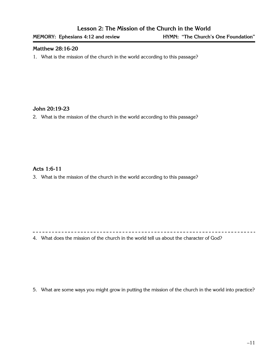#### **Matthew 28:16-20**

1. What is the mission of the church in the world according to this passage?

#### **John 20:19-23**

2. What is the mission of the church in the world according to this passage?

#### **Acts 1:6-11**

3. What is the mission of the church in the world according to this passage?

4. What does the mission of the church in the world tell us about the character of God?

5. What are some ways you might grow in putting the mission of the church in the world into practice?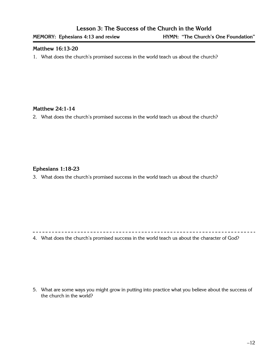#### **Matthew 16:13-20**

1. What does the church's promised success in the world teach us about the church?

#### **Matthew 24:1-14**

2. What does the church's promised success in the world teach us about the church?

#### **Ephesians 1:18-23**

3. What does the church's promised success in the world teach us about the church?

4. What does the church's promised success in the world teach us about the character of God?

5. What are some ways you might grow in putting into practice what you believe about the success of the church in the world?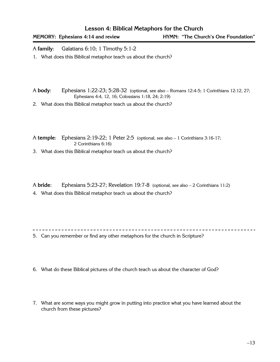**MEMORY: Ephesians 4:14 and review HYMN: "The Church's One Foundation"**

A **family**: Galatians 6:10; 1 Timothy 5:1-2

1. What does this Biblical metaphor teach us about the church?

A **body**: Ephesians 1:22-23; 5:28-32 (optional, see also – Romans 12:4-5; 1 Corinthians 12:12, 27; Ephesians 4:4, 12, 16; Colossians 1:18, 24; 2:19)

2. What does this Biblical metaphor teach us about the church?

A **temple**: Ephesians 2:19-22; 1 Peter 2:5 (optional, see also – 1 Corinthians 3:16-17; 2 Corinthians 6:16)

3. What does this Biblical metaphor teach us about the church?

A **bride**: Ephesians 5:23-27; Revelation 19:7-8 (optional, see also – 2 Corinthians 11:2)

4. What does this Biblical metaphor teach us about the church?

5. Can you remember or find any other metaphors for the church in Scripture?

- 6. What do these Biblical pictures of the church teach us about the character of God?
- 7. What are some ways you might grow in putting into practice what you have learned about the church from these pictures?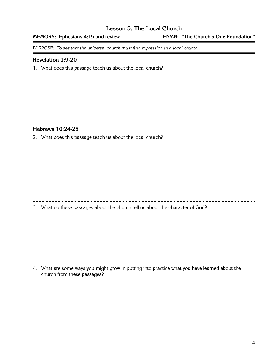#### **Lesson 5: The Local Church**

**MEMORY: Ephesians 4:15 and review HYMN: "The Church's One Foundation"**

PURPOSE: *To see that the universal church must find expression in a local church.*

#### **Revelation 1:9-20**

1. What does this passage teach us about the local church?

#### **Hebrews 10:24-25**

2. What does this passage teach us about the local church?

3. What do these passages about the church tell us about the character of God?

4. What are some ways you might grow in putting into practice what you have learned about the church from these passages?

. . . . . . . . . . . . . . . .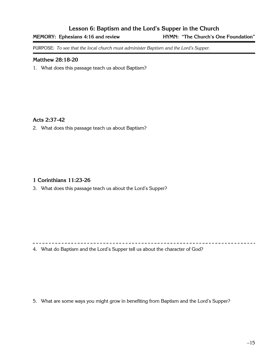#### **Lesson 6: Baptism and the Lord's Supper in the Church**

**MEMORY: Ephesians 4:16 and review HYMN: "The Church's One Foundation"**

PURPOSE: *To see that the local church must administer Baptism and the Lord's Supper.*

#### **Matthew 28:18-20**

1. What does this passage teach us about Baptism?

#### **Acts 2:37-42**

2. What does this passage teach us about Baptism?

#### **1 Corinthians 11:23-26**

3. What does this passage teach us about the Lord's Supper?

4. What do Baptism and the Lord's Supper tell us about the character of God?

5. What are some ways you might grow in benefiting from Baptism and the Lord's Supper?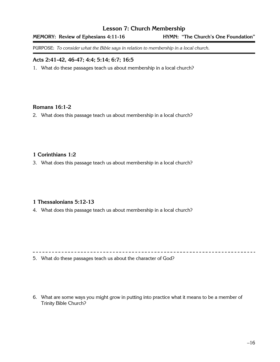#### **Lesson 7: Church Membership**

#### **MEMORY: Review of Ephesians 4:11-16 HYMN: "The Church's One Foundation"**

PURPOSE: *To consider what the Bible says in relation to membership in a local church.*

#### **Acts 2:41-42, 46-47; 4:4; 5:14; 6:7; 16:5**

1. What do these passages teach us about membership in a local church?

#### **Romans 16:1-2**

2. What does this passage teach us about membership in a local church?

#### **1 Corinthians 1:2**

3. What does this passage teach us about membership in a local church?

#### **1 Thessalonians 5:12-13**

4. What does this passage teach us about membership in a local church?

5. What do these passages teach us about the character of God?

6. What are some ways you might grow in putting into practice what it means to be a member of Trinity Bible Church?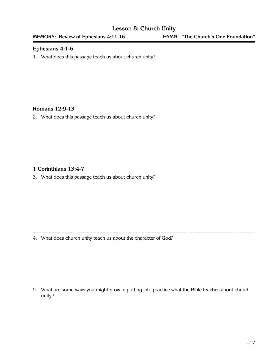#### **Ephesians 4:1-6**

1. What does this passage teach us about church unity?

#### **Romans 12:9-13**

2. What does this passage teach us about church unity?

#### **1 Corinthians 13:4-7**

3. What does this passage teach us about church unity?

4. What does church unity teach us about the character of God?

5. What are some ways you might grow in putting into practice what the Bible teaches about church unity?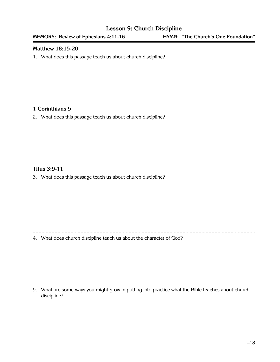#### **Lesson 9: Church Discipline**

#### **Matthew 18:15-20**

1. What does this passage teach us about church discipline?

#### **1 Corinthians 5**

2. What does this passage teach us about church discipline?

#### **Titus 3:9-11**

3. What does this passage teach us about church discipline?

4. What does church discipline teach us about the character of God?

5. What are some ways you might grow in putting into practice what the Bible teaches about church discipline?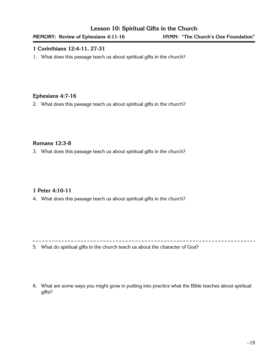#### **Lesson 10: Spiritual Gifts in the Church**

#### **1 Corinthians 12:4-11, 27-31**

1. What does this passage teach us about spiritual gifts in the church?

#### **Ephesians 4:7-16**

2. What does this passage teach us about spiritual gifts in the church?

#### **Romans 12:3-8**

3. What does this passage teach us about spiritual gifts in the church?

#### **1 Peter 4:10-11**

4. What does this passage teach us about spiritual gifts in the church?

5. What do spiritual gifts in the church teach us about the character of God?

6. What are some ways you might grow in putting into practice what the Bible teaches about spiritual gifts?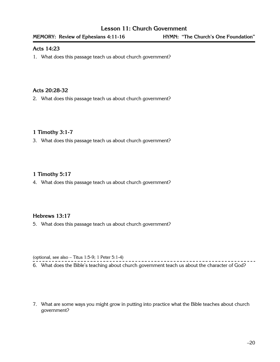#### **Acts 14:23**

1. What does this passage teach us about church government?

#### **Acts 20:28-32**

2. What does this passage teach us about church government?

#### **1 Timothy 3:1-7**

3. What does this passage teach us about church government?

#### **1 Timothy 5:17**

4. What does this passage teach us about church government?

#### **Hebrews 13:17**

5. What does this passage teach us about church government?

(optional, see also – Titus 1:5-9; 1 Peter 5:1-4)

- - - - - - - - - - - - - - - - . 6. What does the Bible's teaching about church government teach us about the character of God?

7. What are some ways you might grow in putting into practice what the Bible teaches about church government?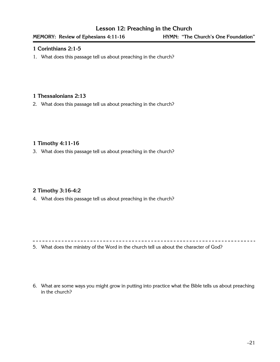#### **1 Corinthians 2:1-5**

1. What does this passage tell us about preaching in the church?

#### **1 Thessalonians 2:13**

2. What does this passage tell us about preaching in the church?

#### **1 Timothy 4:11-16**

3. What does this passage tell us about preaching in the church?

#### **2 Timothy 3:16-4:2**

4. What does this passage tell us about preaching in the church?

5. What does the ministry of the Word in the church tell us about the character of God?

6. What are some ways you might grow in putting into practice what the Bible tells us about preaching in the church?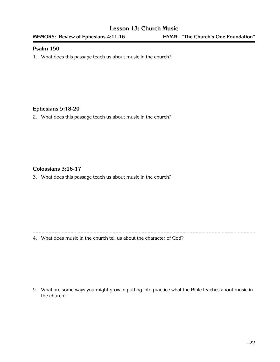#### **Psalm 150**

1. What does this passage teach us about music in the church?

#### **Ephesians 5:18-20**

2. What does this passage teach us about music in the church?

#### **Colossians 3:16-17**

3. What does this passage teach us about music in the church?

4. What does music in the church tell us about the character of God?

5. What are some ways you might grow in putting into practice what the Bible teaches about music in the church?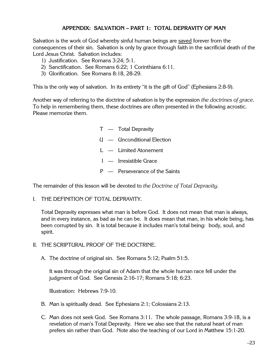#### **APPENDIX: SALVATION – PART 1: TOTAL DEPRAVITY OF MAN**

Salvation is the work of God whereby sinful human beings are saved forever from the consequences of their sin. Salvation is only by grace through faith in the sacrificial death of the Lord Jesus Christ. Salvation includes:

- 1) Justification. See Romans 3:24; 5:1.
- 2) Sanctification. See Romans 6:22; 1 Corinthians 6:11.
- 3) Glorification. See Romans 8:18, 28-29.

This is the only way of salvation. In its entirety "it is the gift of God" (Ephesians 2:8-9).

Another way of referring to the doctrine of salvation is by the expression *the doctrines of grace.* To help in remembering them, these doctrines are often presented in the following acrostic. Please memorize them.

> T — Total Depravity U — Unconditional Election L — Limited Atonement I — Irresistible Grace P — Perseverance of the Saints

The remainder of this lesson will be devoted to *the Doctrine of Total Depravity.*

I. THE DEFINITION OF TOTAL DEPRAVITY.

Total Depravity expresses what man is before God. It does not mean that man is always, and in every instance, as bad as he can be. It does mean that man, in his whole being, has been corrupted by sin. It is total because it includes man's total being: body, soul, and spirit.

II. THE SCRIPTURAL PROOF OF THE DOCTRINE.

A. The doctrine of original sin. See Romans 5:12; Psalm 51:5.

It was through the original sin of Adam that the whole human race fell under the judgment of God. See Genesis 2:16-17; Romans 5:18; 6:23.

Illustration: Hebrews 7:9-10.

- B. Man is spiritually dead. See Ephesians 2:1; Colossians 2:13.
- C. Man does not seek God. See Romans 3:11. The whole passage, Romans 3:9-18, is a revelation of man's Total Depravity. Here we also see that the natural heart of man prefers sin rather than God. Note also the teaching of our Lord in Matthew 15:1-20.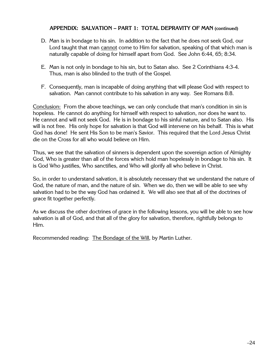#### **APPENDIX: SALVATION – PART 1: TOTAL DEPRAVITY OF MAN (continued)**

- D. Man is in bondage to his sin. In addition to the fact that he does not seek God, our Lord taught that man cannot come to Him for salvation, speaking of that which man is naturally capable of doing for himself apart from God. See John 6:44, 65; 8:34.
- E. Man is not only in bondage to his sin, but to Satan also. See 2 Corinthians 4:3-4. Thus, man is also blinded to the truth of the Gospel.
- F. Consequently, man is incapable of doing anything that will please God with respect to salvation. Man cannot contribute to his salvation in any way. See Romans 8:8.

Conclusion: From the above teachings, we can only conclude that man's condition in sin is hopeless. He cannot do anything for himself with respect to salvation, nor does he want to. He cannot and will not seek God. He is in bondage to his sinful nature, and to Satan also. His will is not free. His only hope for salvation is that God will intervene on his behalf. This is what God has done! He sent His Son to be man's Savior. This required that the Lord Jesus Christ die on the Cross for all who would believe on Him.

Thus, we see that the salvation of sinners is dependent upon the sovereign action of Almighty God, Who is greater than all of the forces which hold man hopelessly in bondage to his sin. It is God Who justifies, Who sanctifies, and Who will glorify all who believe in Christ.

So, in order to understand salvation, it is absolutely necessary that we understand the nature of God, the nature of man, and the nature of sin. When we do, then we will be able to see why salvation had to be the way God has ordained it. We will also see that all of the doctrines of grace fit together perfectly.

As we discuss the other doctrines of grace in the following lessons, you will be able to see how salvation is all of God, and that all of the glory for salvation, therefore, rightfully belongs to Him.

Recommended reading: The Bondage of the Will, by Martin Luther.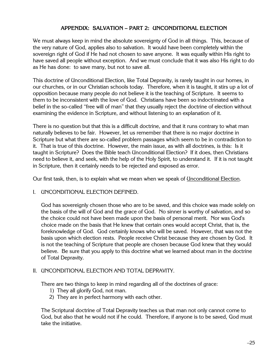#### **APPENDIX: SALVATION – PART 2: UNCONDITIONAL ELECTION**

We must always keep in mind the absolute sovereignty of God in all things. This, because of the very nature of God, applies also to salvation. It would have been completely within the sovereign right of God if He had not chosen to save anyone. It was equally within His right to have saved all people without exception. And we must conclude that it was also His right to do as He has done: to save many, but not to save all.

This doctrine of Unconditional Election, like Total Depravity, is rarely taught in our homes, in our churches, or in our Christian schools today. Therefore, when it is taught, it stirs up a lot of opposition because many people do not believe it is the teaching of Scripture. It seems to them to be inconsistent with the love of God. Christians have been so indoctrinated with a belief in the so-called "free will of man" that they usually reject the doctrine of election without examining the evidence in Scripture, and without listening to an explanation of it.

There is no question but that this is a difficult doctrine, and that it runs contrary to what man naturally believes to be fair. However, let us remember that there is no major doctrine in Scripture but what there are so-called problem passages which seem to be in contradiction to it. That is true of this doctrine. However, the main issue, as with all doctrines, is this: Is it taught in Scripture? Does the Bible teach Unconditional Election? If it does, then Christians need to believe it, and seek, with the help of the Holy Spirit, to understand it. If it is not taught in Scripture, then it certainly needs to be rejected and exposed as error.

Our first task, then, is to explain what we mean when we speak of Unconditional Election.

#### I. UNCONDITIONAL ELECTION DEFINED.

God has sovereignly chosen those who are to be saved, and this choice was made solely on the basis of the will of God and the grace of God. No sinner is worthy of salvation, and so the choice could not have been made upon the basis of personal merit. Nor was God's choice made on the basis that He knew that certain ones would accept Christ, that is, the foreknowledge of God. God certainly knows who will be saved. However, that was not the basis upon which election rests. People receive Christ because they are chosen by God. It is not the teaching of Scripture that people are chosen because God knew that they would believe. Be sure that you apply to this doctrine what we learned about man in the doctrine of Total Depravity.

#### II. UNCONDITIONAL ELECTION AND TOTAL DEPRAVITY.

There are two things to keep in mind regarding all of the doctrines of grace:

- 1) They all glorify God, not man.
- 2) They are in perfect harmony with each other.

The Scriptural doctrine of Total Depravity teaches us that man not only cannot come to God, but also that he would not if he could. Therefore, if anyone is to be saved, God must take the initiative.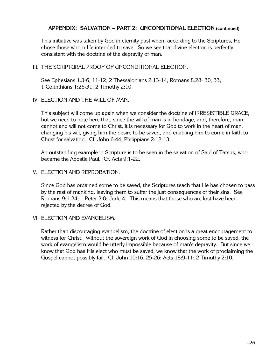#### **APPENDIX: SALVATION – PART 2: UNCONDITIONAL ELECTION (continued)**

This initiative was taken by God in eternity past when, according to the Scriptures, He chose those whom He intended to save. So we see that divine election is perfectly consistent with the doctrine of the depravity of man.

III. THE SCRIPTURAL PROOF OF UNCONDITIONAL ELECTION.

See Ephesians 1:3-6, 11-12; 2 Thessalonians 2:13-14; Romans 8:28- 30, 33; 1 Corinthians 1:26-31; 2 Timothy 2:10.

IV. ELECTION AND THE WILL OF MAN.

This subject will come up again when we consider the doctrine of IRRESISTIBLE GRACE, but we need to note here that, since the will of man is in bondage, and, therefore, man cannot and will not come to Christ, it is necessary for God to work in the heart of man, changing his will, giving him the desire to be saved, and enabling him to come in faith to Christ for salvation. Cf. John 6:44; Philippians 2:12-13.

An outstanding example in Scripture is to be seen in the salvation of Saul of Tarsus, who became the Apostle Paul. Cf. Acts 9:1-22.

V. ELECTION AND REPROBATION.

Since God has ordained some to be saved, the Scriptures teach that He has chosen to pass by the rest of mankind, leaving them to suffer the just consequences of their sins. See Romans 9:1-24; 1 Peter 2:8; Jude 4. This means that those who are lost have been rejected by the decree of God.

VI. ELECTION AND EVANGELISM.

Rather than discouraging evangelism, the doctrine of election is a great encouragement to witness for Christ. Without the sovereign work of God in choosing some to be saved, the work of evangelism would be utterly impossible because of man's depravity. But since we know that God has His elect who must be saved, we know that the work of proclaiming the Gospel cannot possibly fail. Cf. John 10:16, 25-26; Acts 18:9-11; 2 Timothy 2:10.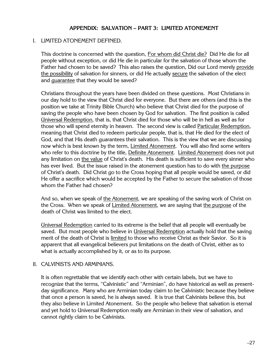#### **APPENDIX: SALVATION – PART 3: LIMITED ATONEMENT**

#### I. LIMITED ATONEMENT DEFINED.

This doctrine is concerned with the question, For whom did Christ die? Did He die for all people without exception, or did He die in particular for the salvation of those whom the Father had chosen to be saved? This also raises the question, Did our Lord merely provide the possibility of salvation for sinners, or did He actually secure the salvation of the elect and guarantee that they would be saved?

Christians throughout the years have been divided on these questions. Most Christians in our day hold to the view that Christ died for everyone. But there are others (and this is the position we take at Trinity Bible Church) who believe that Christ died for the purpose of saving the people who have been chosen by God for salvation. The first position is called Universal Redemption, that is, that Christ died for those who will be in hell as well as for those who will spend eternity in heaven. The second view is called Particular Redemption, meaning that Christ died to redeem particular people, that is, that He died for the elect of God, and that His death guarantees their salvation. This is the view that we are discussing now which is best known by the term, Limited Atonement. You will also find some writers who refer to this doctrine by the title, Definite Atonement. Limited Atonement does not put any limitation on the value of Christ's death. His death is sufficient to save every sinner who has ever lived. But the issue raised in the atonement question has to do with the purpose of Christ's death. Did Christ go to the Cross hoping that all people would be saved, or did He offer a sacrifice which would be accepted by the Father to secure the salvation of those whom the Father had chosen?

And so, when we speak of the Atonement, we are speaking of the saving work of Christ on the Cross. When we speak of Limited Atonement, we are saying that the purpose of the death of Christ was limited to the elect.

Universal Redemption carried to its extreme is the belief that all people will eventually be saved. But most people who believe in Universal Redemption actually hold that the saving merit of the death of Christ is limited to those who receive Christ as their Savior. So it is apparent that all evangelical believers put limitations on the death of Christ, either as to what is actually accomplished by it, or as to its purpose.

#### II. CALVINISTS AND ARMINIANS.

It is often regrettable that we identify each other with certain labels, but we have to recognize that the terms, "Calvinistic" and "Arminian", do have historical as well as presentday significance. Many who are Arminian today claim to be Calvinistic because they believe that once a person is saved, he is always saved. It is true that Calvinists believe this, but they also believe in Limited Atonement. So the people who believe that salvation is eternal and yet hold to Universal Redemption really are Arminian in their view of salvation, and cannot rightly claim to be Calvinists.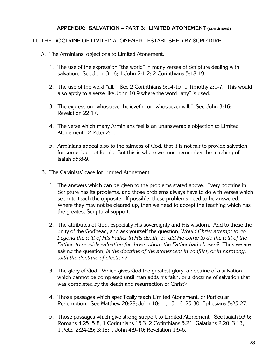#### **APPENDIX: SALVATION – PART 3: LIMITED ATONEMENT (continued)**

#### III. THE DOCTRINE OF LIMITED ATONEMENT ESTABLISHED BY SCRIPTURE.

- A. The Arminians' objections to Limited Atonement.
	- 1. The use of the expression "the world" in many verses of Scripture dealing with salvation. See John 3:16; 1 John 2:1-2; 2 Corinthians 5:18-19.
	- 2. The use of the word "all." See 2 Corinthians 5:14-15; 1 Timothy 2:1-7. This would also apply to a verse like John 10:9 where the word "any" is used.
	- 3. The expression "whosoever believeth" or "whosoever will." See John 3:16; Revelation 22:17.
	- 4. The verse which many Arminians feel is an unanswerable objection to Limited Atonement: 2 Peter 2:1.
	- 5. Arminians appeal also to the fairness of God, that it is not fair to provide salvation for some, but not for all. But this is where we must remember the teaching of Isaiah 55:8-9.
- B. The Calvinists' case for Limited Atonement.
	- 1. The answers which can be given to the problems stated above. Every doctrine in Scripture has its problems, and those problems always have to do with verses which seem to teach the opposite. If possible, these problems need to be answered. Where they may not be cleared up, then we need to accept the teaching which has the greatest Scriptural support.
	- 2. The attributes of God, especially His sovereignty and His wisdom. Add to these the unity of the Godhead, and ask yourself the question, *Would Christ attempt to go beyond the will of His Father in His death,* or, *did He come to do the will of the Father–to provide salvation for those whom the Father had chosen?* Thus we are asking the question, *Is the doctrine of the atonement in conflict, or in harmony, with the doctrine of election?*
	- 3. The glory of God. Which gives God the greatest glory, a doctrine of a salvation which cannot be completed until man adds his faith, or a doctrine of salvation that was completed by the death and resurrection of Christ?
	- 4. Those passages which specifically teach Limited Atonement, or Particular Redemption. See Matthew 20:28; John 10:11, 15-16, 25-30; Ephesians 5:25-27.
	- 5. Those passages which give strong support to Limited Atonement. See Isaiah 53:6; Romans 4:25; 5:8; 1 Corinthians 15:3; 2 Corinthians 5:21; Galatians 2:20; 3:13; 1 Peter 2:24-25; 3:18; 1 John 4:9-10; Revelation 1:5-6.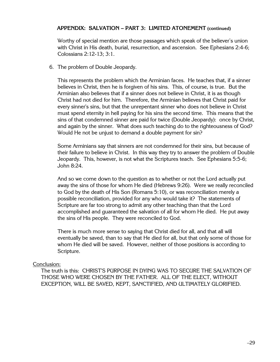#### **APPENDIX: SALVATION – PART 3: LIMITED ATONEMENT (continued)**

Worthy of special mention are those passages which speak of the believer's union with Christ in His death, burial, resurrection, and ascension. See Ephesians 2:4-6; Colossians 2:12-13; 3:1.

6. The problem of Double Jeopardy.

This represents the problem which the Arminian faces. He teaches that, if a sinner believes in Christ, then he is forgiven of his sins. This, of course, is true. But the Arminian also believes that if a sinner does not believe in Christ, it is as though Christ had not died for him. Therefore, the Arminian believes that Christ paid for every sinner's sins, but that the unrepentant sinner who does not believe in Christ must spend eternity in hell paying for his sins the second time. This means that the sins of that condemned sinner are paid for twice (Double Jeopardy): once by Christ, and again by the sinner. What does such teaching do to the righteousness of God? Would He not be unjust to demand a double payment for sin?

Some Arminians say that sinners are not condemned for their sins, but because of their failure to believe in Christ. In this way they try to answer the problem of Double Jeopardy. This, however, is not what the Scriptures teach. See Ephesians 5:5-6; John 8:24.

And so we come down to the question as to whether or not the Lord actually put away the sins of those for whom He died (Hebrews 9:26). Were we really reconciled to God by the death of His Son (Romans 5:10), or was reconciliation merely a possible reconciliation, provided for any who would take it? The statements of Scripture are far too strong to admit any other teaching than that the Lord accomplished and guaranteed the salvation of all for whom He died. He put away the sins of His people. They were reconciled to God.

There is much more sense to saying that Christ died for all, and that all will eventually be saved, than to say that He died for all, but that only some of those for whom He died will be saved. However, neither of those positions is according to Scripture.

#### Conclusion:

The truth is this: CHRIST'S PURPOSE IN DYING WAS TO SECURE THE SALVATION OF THOSE WHO WERE CHOSEN BY THE FATHER. ALL OF THE ELECT, WITHOUT EXCEPTION, WILL BE SAVED, KEPT, SANCTIFIED, AND ULTIMATELY GLORIFIED.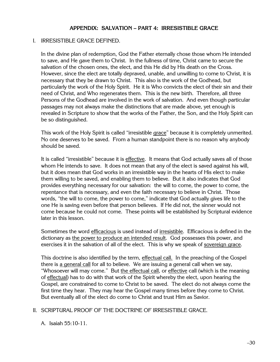#### **APPENDIX: SALVATION – PART 4: IRRESISTIBLE GRACE**

#### I. IRRESISTIBLE GRACE DEFINED.

In the divine plan of redemption, God the Father eternally chose those whom He intended to save, and He gave them to Christ. In the fullness of time, Christ came to secure the salvation of the chosen ones, the elect, and this He did by His death on the Cross. However, since the elect are totally depraved, unable, and unwilling to come to Christ, it is necessary that they be drawn to Christ. This also is the work of the Godhead, but particularly the work of the Holy Spirit. He it is Who convicts the elect of their sin and their need of Christ, and Who regenerates them. This is the new birth. Therefore, all three Persons of the Godhead are involved in the work of salvation. And even though particular passages may not always make the distinctions that are made above, yet enough is revealed in Scripture to show that the works of the Father, the Son, and the Holy Spirit can be so distinguished.

This work of the Holy Spirit is called "irresistible grace" because it is completely unmerited. No one deserves to be saved. From a human standpoint there is no reason why anybody should be saved.

It is called "irresistible" because it is effective. It means that God actually saves all of those whom He intends to save. It does not mean that any of the elect is saved against his will, but it does mean that God works in an irresistible way in the hearts of His elect to make them willing to be saved, and enabling them to believe. But it also indicates that God provides everything necessary for our salvation: the will to come, the power to come, the repentance that is necessary, and even the faith necessary to believe in Christ. Those words, "the will to come, the power to come," indicate that God actually gives life to the one He is saving even before that person believes. If He did not, the sinner would not come because he could not come. These points will be established by Scriptural evidence later in this lesson.

Sometimes the word efficacious is used instead of irresistible. Efficacious is defined in the dictionary as the power to produce an intended result. God possesses this power, and exercises it in the salvation of all of the elect. This is why we speak of sovereign grace.

This doctrine is also identified by the term, effectual call. In the preaching of the Gospel there is a general call for all to believe. We are issuing a general call when we say, "Whosoever will may come." But the effectual call, or effective call (which is the meaning of effectual) has to do with that work of the Spirit whereby the elect, upon hearing the Gospel, are constrained to come to Christ to be saved. The elect do not always come the first time they hear. They may hear the Gospel many times before they come to Christ. But eventually all of the elect do come to Christ and trust Him as Savior.

#### II. SCRIPTURAL PROOF OF THE DOCTRINE OF IRRESISTIBLE GRACE.

A. Isaiah 55:10-11.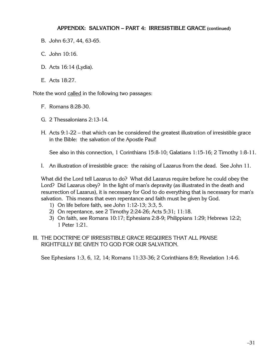#### **APPENDIX: SALVATION – PART 4: IRRESISTIBLE GRACE (continued)**

- B. John 6:37, 44, 63-65.
- C. John 10:16.
- D. Acts 16:14 (Lydia).
- E. Acts 18:27.

Note the word called in the following two passages:

- F. Romans 8:28-30.
- G. 2 Thessalonians 2:13-14.
- H. Acts 9:1-22 that which can be considered the greatest illustration of irresistible grace in the Bible: the salvation of the Apostle Paul!

See also in this connection, 1 Corinthians 15:8-10; Galatians 1:15-16; 2 Timothy 1:8-11.

I. An illustration of irresistible grace: the raising of Lazarus from the dead. See John 11.

What did the Lord tell Lazarus to do? What did Lazarus require before he could obey the Lord? Did Lazarus obey? In the light of man's depravity (as illustrated in the death and resurrection of Lazarus), it is necessary for God to do everything that is necessary for man's salvation. This means that even repentance and faith must be given by God.

- 1) On life before faith, see John 1:12-13; 3:3, 5.
- 2) On repentance, see 2 Timothy 2:24-26; Acts 5:31; 11:18.
- 3) On faith, see Romans 10:17; Ephesians 2:8-9; Philippians 1:29; Hebrews 12:2; 1 Peter 1:21.
- III. THE DOCTRINE OF IRRESISTIBLE GRACE REQUIRES THAT ALL PRAISE RIGHTFULLY BE GIVEN TO GOD FOR OUR SALVATION.

See Ephesians 1:3, 6, 12, 14; Romans 11:33-36; 2 Corinthians 8:9; Revelation 1:4-6.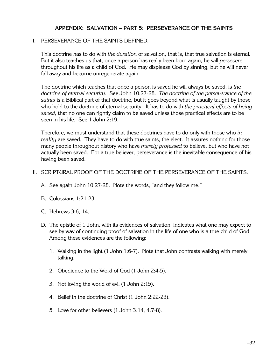#### **APPENDIX: SALVATION – PART 5: PERSEVERANCE OF THE SAINTS**

#### I. PERSEVERANCE OF THE SAINTS DEFINED.

This doctrine has to do with *the duration* of salvation, that is, that true salvation is eternal. But it also teaches us that, once a person has really been born again, he will *persevere* throughout his life as a child of God. He may displease God by sinning, but he will never fall away and become unregenerate again.

The doctrine which teaches that once a person is saved he will always be saved, is *the doctrine of eternal security.* See John 10:27-28. *The doctrine of the perseverance of the saints* is a Biblical part of that doctrine, but it goes beyond what is usually taught by those who hold to the doctrine of eternal security. It has to do with *the practical effects of being saved,* that no one can rightly claim to be saved unless those practical effects are to be seen in his life. See 1 John 2:19.

Therefore, we must understand that these doctrines have to do only with those who *in reality* are saved. They have to do with true saints, the elect. It assures nothing for those many people throughout history who have *merely professed* to believe, but who have not actually been saved. For a true believer, perseverance is the inevitable consequence of his having been saved.

#### II. SCRIPTURAL PROOF OF THE DOCTRINE OF THE PERSEVERANCE OF THE SAINTS.

- A. See again John 10:27-28. Note the words, "and they follow me."
- B. Colossians 1:21-23.
- C. Hebrews 3:6, 14.
- D. The epistle of 1 John, with its evidences of salvation, indicates what one may expect to see by way of continuing proof of salvation in the life of one who is a true child of God. Among these evidences are the following:
	- 1. Walking in the light (1 John 1:6-7). Note that John contrasts walking with merely talking.
	- 2. Obedience to the Word of God (1 John 2:4-5).
	- 3. Not loving the world of evil (1 John 2:15).
	- 4. Belief in the doctrine of Christ (1 John 2:22-23).
	- 5. Love for other believers (1 John 3:14; 4:7-8).